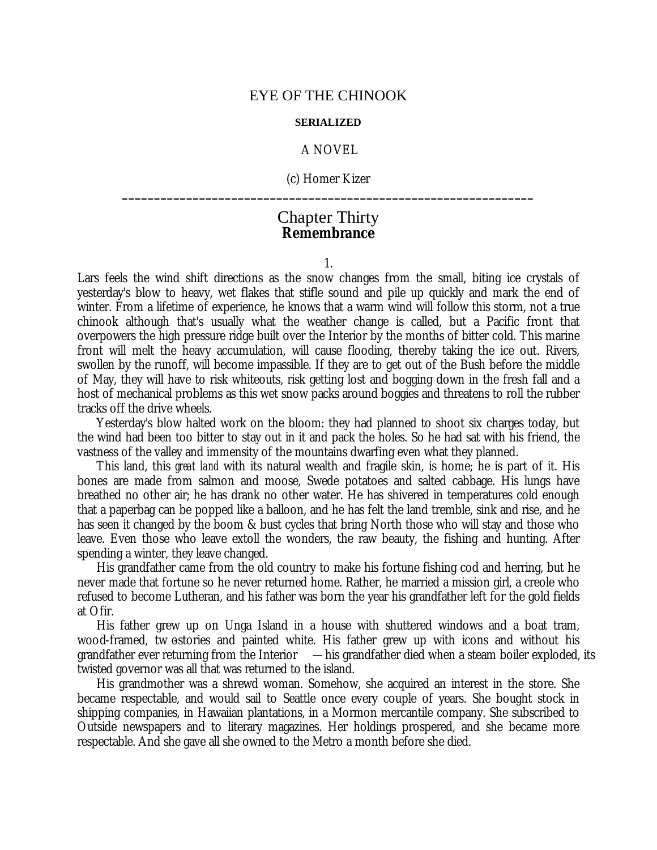## EYE OF THE CHINOOK

## **SERIALIZED**

## A NOVEL

(c) Homer Kizer **\_\_\_\_\_\_\_\_\_\_\_\_\_\_\_\_\_\_\_\_\_\_\_\_\_\_\_\_\_\_\_\_\_\_\_\_\_\_\_\_\_\_\_\_\_\_\_\_\_\_\_\_\_\_\_\_\_\_\_\_\_\_\_\_**

## Chapter Thirty **Remembrance**

1.

Lars feels the wind shift directions as the snow changes from the small, biting ice crystals of yesterday's blow to heavy, wet flakes that stifle sound and pile up quickly and mark the end of winter. From a lifetime of experience, he knows that a warm wind will follow this storm, not a true chinook although that's usually what the weather change is called, but a Pacific front that overpowers the high pressure ridge built over the Interior by the months of bitter cold. This marine front will melt the heavy accumulation, will cause flooding, thereby taking the ice out. Rivers, swollen by the runoff, will become impassible. If they are to get out of the Bush before the middle of May, they will have to risk whiteouts, risk getting lost and bogging down in the fresh fall and a host of mechanical problems as this wet snow packs around boggies and threatens to roll the rubber tracks off the drive wheels.

Yesterday's blow halted work on the bloom: they had planned to shoot six charges today, but the wind had been too bitter to stay out in it and pack the holes. So he had sat with his friend, the vastness of the valley and immensity of the mountains dwarfing even what they planned.

This land, this *great land* with its natural wealth and fragile skin, is home; he is part of it. His bones are made from salmon and moose, Swede potatoes and salted cabbage. His lungs have breathed no other air; he has drank no other water. He has shivered in temperatures cold enough that a paperbag can be popped like a balloon, and he has felt the land tremble, sink and rise, and he has seen it changed by the boom & bust cycles that bring North those who will stay and those who leave. Even those who leave extoll the wonders, the raw beauty, the fishing and hunting. After spending a winter, they leave changed.

His grandfather came from the old country to make his fortune fishing cod and herring, but he never made that fortune so he never returned home. Rather, he married a mission girl, a creole who refused to become Lutheran, and his father was born the year his grandfather left for the gold fields at Ofir.

His father grew up on Unga Island in a house with shuttered windows and a boat tram, wood-framed, tw ostories and painted white. His father grew up with icons and without his grandfather ever returning from the Interior  $-\,$  his grandfather died when a steam boiler exploded, its twisted governor was all that was returned to the island.

His grandmother was a shrewd woman. Somehow, she acquired an interest in the store. She became respectable, and would sail to Seattle once every couple of years. She bought stock in shipping companies, in Hawaiian plantations, in a Mormon mercantile company. She subscribed to Outside newspapers and to literary magazines. Her holdings prospered, and she became more respectable. And she gave all she owned to the Metro a month before she died.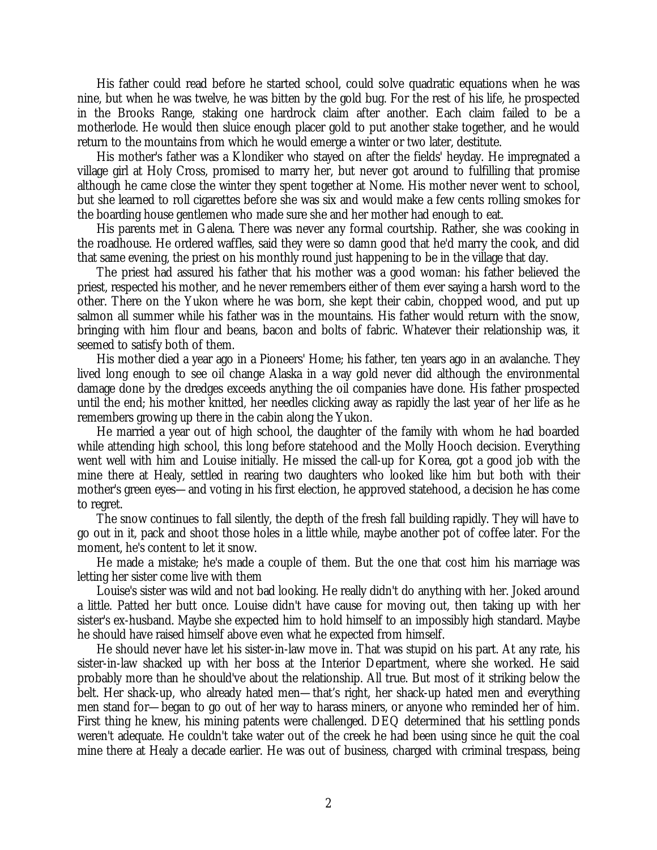His father could read before he started school, could solve quadratic equations when he was nine, but when he was twelve, he was bitten by the gold bug. For the rest of his life, he prospected in the Brooks Range, staking one hardrock claim after another. Each claim failed to be a motherlode. He would then sluice enough placer gold to put another stake together, and he would return to the mountains from which he would emerge a winter or two later, destitute.

His mother's father was a Klondiker who stayed on after the fields' heyday. He impregnated a village girl at Holy Cross, promised to marry her, but never got around to fulfilling that promise although he came close the winter they spent together at Nome. His mother never went to school, but she learned to roll cigarettes before she was six and would make a few cents rolling smokes for the boarding house gentlemen who made sure she and her mother had enough to eat.

His parents met in Galena. There was never any formal courtship. Rather, she was cooking in the roadhouse. He ordered waffles, said they were so damn good that he'd marry the cook, and did that same evening, the priest on his monthly round just happening to be in the village that day.

The priest had assured his father that his mother was a good woman: his father believed the priest, respected his mother, and he never remembers either of them ever saying a harsh word to the other. There on the Yukon where he was born, she kept their cabin, chopped wood, and put up salmon all summer while his father was in the mountains. His father would return with the snow, bringing with him flour and beans, bacon and bolts of fabric. Whatever their relationship was, it seemed to satisfy both of them.

His mother died a year ago in a Pioneers' Home; his father, ten years ago in an avalanche. They lived long enough to see oil change Alaska in a way gold never did although the environmental damage done by the dredges exceeds anything the oil companies have done. His father prospected until the end; his mother knitted, her needles clicking away as rapidly the last year of her life as he remembers growing up there in the cabin along the Yukon.

He married a year out of high school, the daughter of the family with whom he had boarded while attending high school, this long before statehood and the Molly Hooch decision. Everything went well with him and Louise initially. He missed the call-up for Korea, got a good job with the mine there at Healy, settled in rearing two daughters who looked like him but both with their mother's green eyes— and voting in his first election, he approved statehood, a decision he has come to regret.

The snow continues to fall silently, the depth of the fresh fall building rapidly. They will have to go out in it, pack and shoot those holes in a little while, maybe another pot of coffee later. For the moment, he's content to let it snow.

He made a mistake; he's made a couple of them. But the one that cost him his marriage was letting her sister come live with them

Louise's sister was wild and not bad looking. He really didn't do anything with her. Joked around a little. Patted her butt once. Louise didn't have cause for moving out, then taking up with her sister's ex-husband. Maybe she expected him to hold himself to an impossibly high standard. Maybe he should have raised himself above even what he expected from himself.

He should never have let his sister-in-law move in. That was stupid on his part. At any rate, his sister-in-law shacked up with her boss at the Interior Department, where she worked. He said probably more than he should've about the relationship. All true. But most of it striking below the belt. Her shack-up, who already hated men— that's right, her shack-up hated men and everything men stand for— began to go out of her way to harass miners, or anyone who reminded her of him. First thing he knew, his mining patents were challenged. DEQ determined that his settling ponds weren't adequate. He couldn't take water out of the creek he had been using since he quit the coal mine there at Healy a decade earlier. He was out of business, charged with criminal trespass, being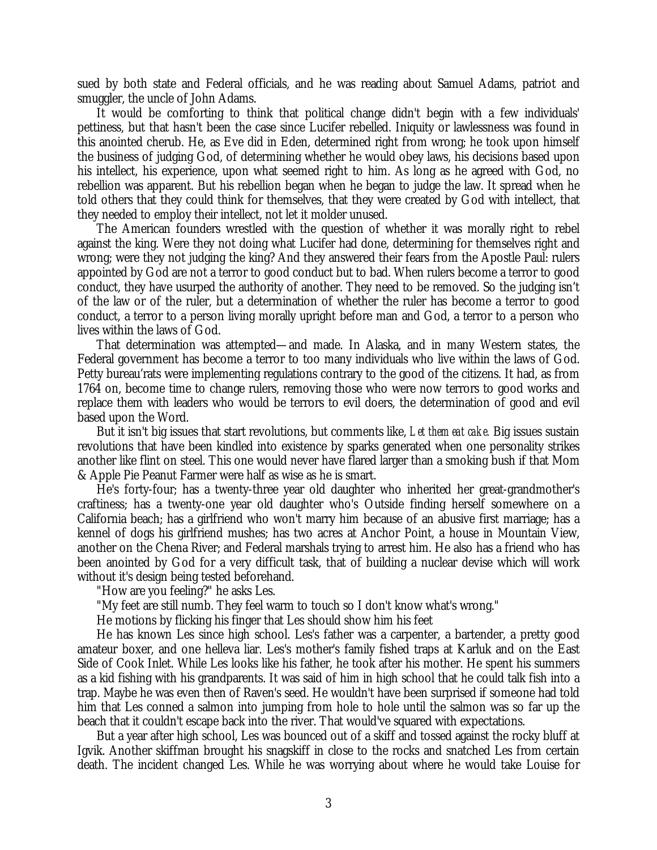sued by both state and Federal officials, and he was reading about Samuel Adams, patriot and smuggler, the uncle of John Adams.

It would be comforting to think that political change didn't begin with a few individuals' pettiness, but that hasn't been the case since Lucifer rebelled. Iniquity or lawlessness was found in this anointed cherub. He, as Eve did in Eden, determined right from wrong; he took upon himself the business of judging God, of determining whether he would obey laws, his decisions based upon his intellect, his experience, upon what seemed right to him. As long as he agreed with God, no rebellion was apparent. But his rebellion began when he began to judge the law. It spread when he told others that they could think for themselves, that they were created by God with intellect, that they needed to employ their intellect, not let it molder unused.

The American founders wrestled with the question of whether it was morally right to rebel against the king. Were they not doing what Lucifer had done, determining for themselves right and wrong; were they not judging the king? And they answered their fears from the Apostle Paul: rulers appointed by God are not a terror to good conduct but to bad. When rulers become a terror to good conduct, they have usurped the authority of another. They need to be removed. So the judging isn't of the law or of the ruler, but a determination of whether the ruler has become a terror to good conduct, a terror to a person living morally upright before man and God, a terror to a person who lives within the laws of God.

That determination was attempted— and made. In Alaska, and in many Western states, the Federal government has become a terror to too many individuals who live within the laws of God. Petty bureau'rats were implementing regulations contrary to the good of the citizens. It had, as from 1764 on, become time to change rulers, removing those who were now terrors to good works and replace them with leaders who would be terrors to evil doers, the determination of good and evil based upon the Word.

But it isn't big issues that start revolutions, but comments like, *Let them eat cake.* Big issues sustain revolutions that have been kindled into existence by sparks generated when one personality strikes another like flint on steel. This one would never have flared larger than a smoking bush if that Mom & Apple Pie Peanut Farmer were half as wise as he is smart.

He's forty-four; has a twenty-three year old daughter who inherited her great-grandmother's craftiness; has a twenty-one year old daughter who's Outside finding herself somewhere on a California beach; has a girlfriend who won't marry him because of an abusive first marriage; has a kennel of dogs his girlfriend mushes; has two acres at Anchor Point, a house in Mountain View, another on the Chena River; and Federal marshals trying to arrest him. He also has a friend who has been anointed by God for a very difficult task, that of building a nuclear devise which will work without it's design being tested beforehand.

"How are you feeling?" he asks Les.

"My feet are still numb. They feel warm to touch so I don't know what's wrong."

He motions by flicking his finger that Les should show him his feet

He has known Les since high school. Les's father was a carpenter, a bartender, a pretty good amateur boxer, and one helleva liar. Les's mother's family fished traps at Karluk and on the East Side of Cook Inlet. While Les looks like his father, he took after his mother. He spent his summers as a kid fishing with his grandparents. It was said of him in high school that he could talk fish into a trap. Maybe he was even then of Raven's seed. He wouldn't have been surprised if someone had told him that Les conned a salmon into jumping from hole to hole until the salmon was so far up the beach that it couldn't escape back into the river. That would've squared with expectations.

But a year after high school, Les was bounced out of a skiff and tossed against the rocky bluff at Igvik. Another skiffman brought his snagskiff in close to the rocks and snatched Les from certain death. The incident changed Les. While he was worrying about where he would take Louise for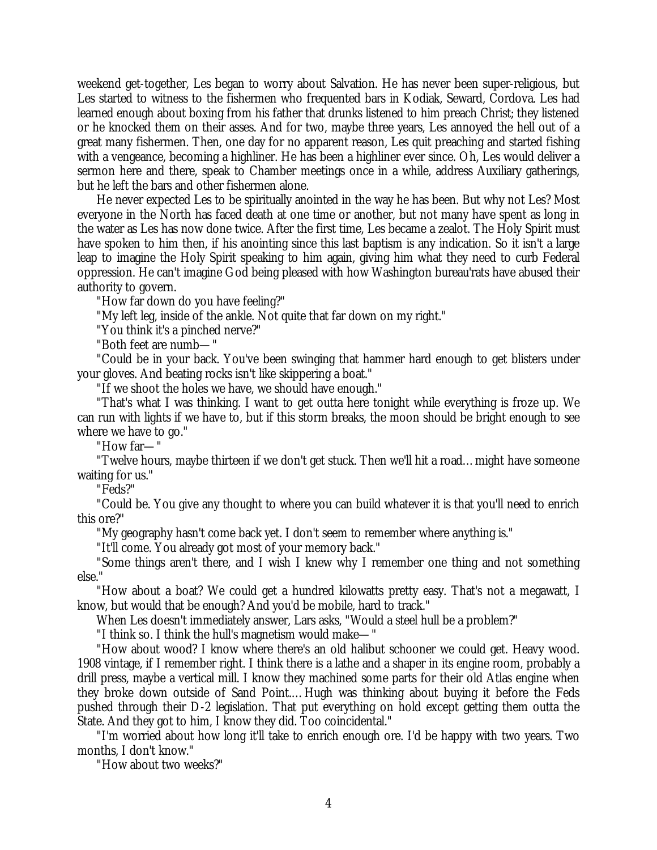weekend get-together, Les began to worry about Salvation. He has never been super-religious, but Les started to witness to the fishermen who frequented bars in Kodiak, Seward, Cordova. Les had learned enough about boxing from his father that drunks listened to him preach Christ; they listened or he knocked them on their asses. And for two, maybe three years, Les annoyed the hell out of a great many fishermen. Then, one day for no apparent reason, Les quit preaching and started fishing with a vengeance, becoming a highliner. He has been a highliner ever since. Oh, Les would deliver a sermon here and there, speak to Chamber meetings once in a while, address Auxiliary gatherings, but he left the bars and other fishermen alone.

He never expected Les to be spiritually anointed in the way he has been. But why not Les? Most everyone in the North has faced death at one time or another, but not many have spent as long in the water as Les has now done twice. After the first time, Les became a zealot. The Holy Spirit must have spoken to him then, if his anointing since this last baptism is any indication. So it isn't a large leap to imagine the Holy Spirit speaking to him again, giving him what they need to curb Federal oppression. He can't imagine God being pleased with how Washington bureau'rats have abused their authority to govern.

"How far down do you have feeling?"

"My left leg, inside of the ankle. Not quite that far down on my right."

"You think it's a pinched nerve?"

"Both feet are numb— "

"Could be in your back. You've been swinging that hammer hard enough to get blisters under your gloves. And beating rocks isn't like skippering a boat."

"If we shoot the holes we have, we should have enough."

"That's what I was thinking. I want to get outta here tonight while everything is froze up. We can run with lights if we have to, but if this storm breaks, the moon should be bright enough to see where we have to go."

"How far— "

"Twelve hours, maybe thirteen if we don't get stuck. Then we'll hit a road… might have someone waiting for us."

"Feds?"

"Could be. You give any thought to where you can build whatever it is that you'll need to enrich this ore?"

"My geography hasn't come back yet. I don't seem to remember where anything is."

"It'll come. You already got most of your memory back."

"Some things aren't there, and I wish I knew why I remember one thing and not something else."

"How about a boat? We could get a hundred kilowatts pretty easy. That's not a megawatt, I know, but would that be enough? And you'd be mobile, hard to track."

When Les doesn't immediately answer, Lars asks, "Would a steel hull be a problem?"

"I think so. I think the hull's magnetism would make— "

"How about wood? I know where there's an old halibut schooner we could get. Heavy wood. 1908 vintage, if I remember right. I think there is a lathe and a shaper in its engine room, probably a drill press, maybe a vertical mill. I know they machined some parts for their old Atlas engine when they broke down outside of Sand Point.… Hugh was thinking about buying it before the Feds pushed through their D-2 legislation. That put everything on hold except getting them outta the State. And they got to him, I know they did. Too coincidental."

"I'm worried about how long it'll take to enrich enough ore. I'd be happy with two years. Two months, I don't know."

"How about two weeks?"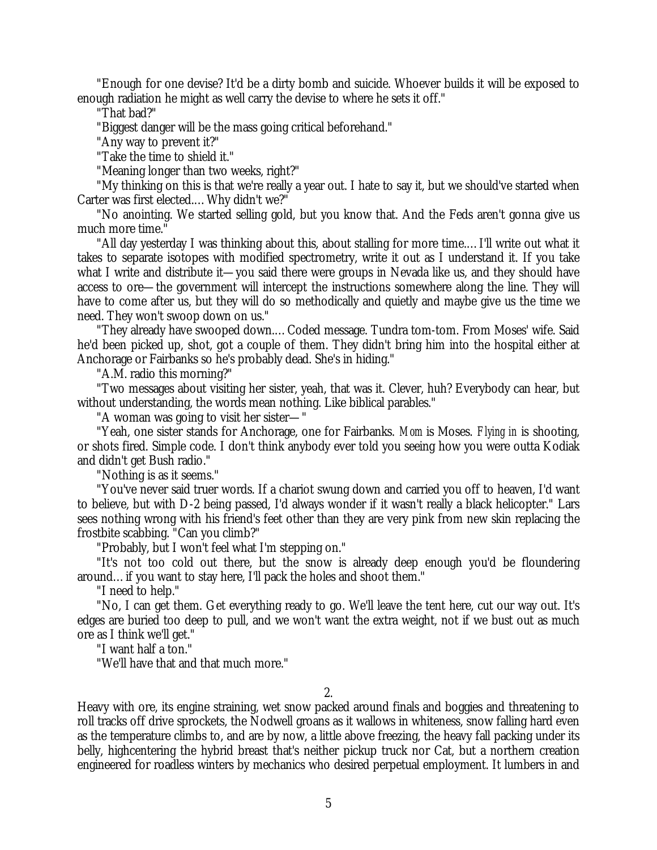"Enough for one devise? It'd be a dirty bomb and suicide. Whoever builds it will be exposed to enough radiation he might as well carry the devise to where he sets it off."

"That bad?"

"Biggest danger will be the mass going critical beforehand."

"Any way to prevent it?"

"Take the time to shield it."

"Meaning longer than two weeks, right?"

"My thinking on this is that we're really a year out. I hate to say it, but we should've started when Carter was first elected.… Why didn't we?"

"No anointing. We started selling gold, but you know that. And the Feds aren't gonna give us much more time."

"All day yesterday I was thinking about this, about stalling for more time.… I'll write out what it takes to separate isotopes with modified spectrometry, write it out as I understand it. If you take what I write and distribute it— you said there were groups in Nevada like us, and they should have access to ore— the government will intercept the instructions somewhere along the line. They will have to come after us, but they will do so methodically and quietly and maybe give us the time we need. They won't swoop down on us."

"They already have swooped down.… Coded message. Tundra tom-tom. From Moses' wife. Said he'd been picked up, shot, got a couple of them. They didn't bring him into the hospital either at Anchorage or Fairbanks so he's probably dead. She's in hiding."

"A.M. radio this morning?"

"Two messages about visiting her sister, yeah, that was it. Clever, huh? Everybody can hear, but without understanding, the words mean nothing. Like biblical parables."

"A woman was going to visit her sister— "

"Yeah, one sister stands for Anchorage, one for Fairbanks. *Mom* is Moses. *Flying in* is shooting, or shots fired. Simple code. I don't think anybody ever told you seeing how you were outta Kodiak and didn't get Bush radio."

"Nothing is as it seems."

"You've never said truer words. If a chariot swung down and carried you off to heaven, I'd want to believe, but with D-2 being passed, I'd always wonder if it wasn't really a black helicopter." Lars sees nothing wrong with his friend's feet other than they are very pink from new skin replacing the frostbite scabbing. "Can you climb?"

"Probably, but I won't feel what I'm stepping on."

"It's not too cold out there, but the snow is already deep enough you'd be floundering around… if you want to stay here, I'll pack the holes and shoot them."

"I need to help."

"No, I can get them. Get everything ready to go. We'll leave the tent here, cut our way out. It's edges are buried too deep to pull, and we won't want the extra weight, not if we bust out as much ore as I think we'll get."

"I want half a ton."

"We'll have that and that much more."

2.

Heavy with ore, its engine straining, wet snow packed around finals and boggies and threatening to roll tracks off drive sprockets, the Nodwell groans as it wallows in whiteness, snow falling hard even as the temperature climbs to, and are by now, a little above freezing, the heavy fall packing under its belly, highcentering the hybrid breast that's neither pickup truck nor Cat, but a northern creation engineered for roadless winters by mechanics who desired perpetual employment. It lumbers in and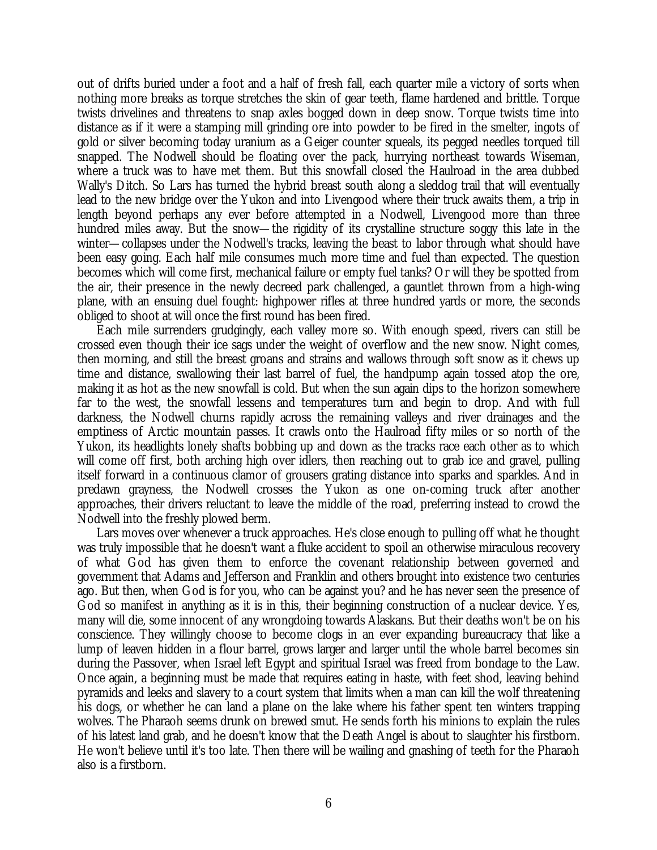out of drifts buried under a foot and a half of fresh fall, each quarter mile a victory of sorts when nothing more breaks as torque stretches the skin of gear teeth, flame hardened and brittle. Torque twists drivelines and threatens to snap axles bogged down in deep snow. Torque twists time into distance as if it were a stamping mill grinding ore into powder to be fired in the smelter, ingots of gold or silver becoming today uranium as a Geiger counter squeals, its pegged needles torqued till snapped. The Nodwell should be floating over the pack, hurrying northeast towards Wiseman, where a truck was to have met them. But this snowfall closed the Haulroad in the area dubbed Wally's Ditch. So Lars has turned the hybrid breast south along a sleddog trail that will eventually lead to the new bridge over the Yukon and into Livengood where their truck awaits them, a trip in length beyond perhaps any ever before attempted in a Nodwell, Livengood more than three hundred miles away. But the snow— the rigidity of its crystalline structure soggy this late in the winter— collapses under the Nodwell's tracks, leaving the beast to labor through what should have been easy going. Each half mile consumes much more time and fuel than expected. The question becomes which will come first, mechanical failure or empty fuel tanks? Or will they be spotted from the air, their presence in the newly decreed park challenged, a gauntlet thrown from a high-wing plane, with an ensuing duel fought: highpower rifles at three hundred yards or more, the seconds obliged to shoot at will once the first round has been fired.

Each mile surrenders grudgingly, each valley more so. With enough speed, rivers can still be crossed even though their ice sags under the weight of overflow and the new snow. Night comes, then morning, and still the breast groans and strains and wallows through soft snow as it chews up time and distance, swallowing their last barrel of fuel, the handpump again tossed atop the ore, making it as hot as the new snowfall is cold. But when the sun again dips to the horizon somewhere far to the west, the snowfall lessens and temperatures turn and begin to drop. And with full darkness, the Nodwell churns rapidly across the remaining valleys and river drainages and the emptiness of Arctic mountain passes. It crawls onto the Haulroad fifty miles or so north of the Yukon, its headlights lonely shafts bobbing up and down as the tracks race each other as to which will come off first, both arching high over idlers, then reaching out to grab ice and gravel, pulling itself forward in a continuous clamor of grousers grating distance into sparks and sparkles. And in predawn grayness, the Nodwell crosses the Yukon as one on-coming truck after another approaches, their drivers reluctant to leave the middle of the road, preferring instead to crowd the Nodwell into the freshly plowed berm.

Lars moves over whenever a truck approaches. He's close enough to pulling off what he thought was truly impossible that he doesn't want a fluke accident to spoil an otherwise miraculous recovery of what God has given them to enforce the covenant relationship between governed and government that Adams and Jefferson and Franklin and others brought into existence two centuries ago. But then, when God is for you, who can be against you? and he has never seen the presence of God so manifest in anything as it is in this, their beginning construction of a nuclear device. Yes, many will die, some innocent of any wrongdoing towards Alaskans. But their deaths won't be on his conscience. They willingly choose to become clogs in an ever expanding bureaucracy that like a lump of leaven hidden in a flour barrel, grows larger and larger until the whole barrel becomes sin during the Passover, when Israel left Egypt and spiritual Israel was freed from bondage to the Law. Once again, a beginning must be made that requires eating in haste, with feet shod, leaving behind pyramids and leeks and slavery to a court system that limits when a man can kill the wolf threatening his dogs, or whether he can land a plane on the lake where his father spent ten winters trapping wolves. The Pharaoh seems drunk on brewed smut. He sends forth his minions to explain the rules of his latest land grab, and he doesn't know that the Death Angel is about to slaughter his firstborn. He won't believe until it's too late. Then there will be wailing and gnashing of teeth for the Pharaoh also is a firstborn.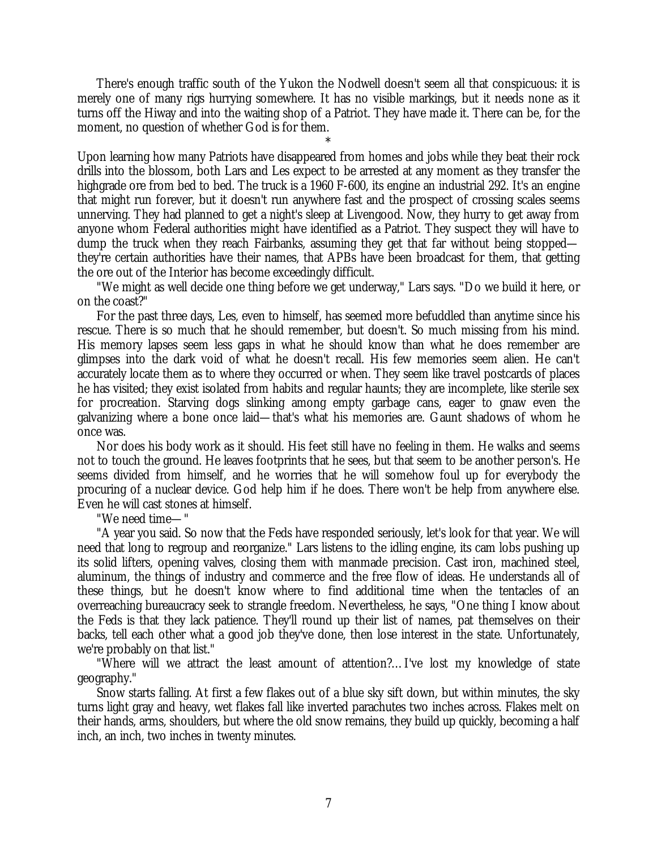There's enough traffic south of the Yukon the Nodwell doesn't seem all that conspicuous: it is merely one of many rigs hurrying somewhere. It has no visible markings, but it needs none as it turns off the Hiway and into the waiting shop of a Patriot. They have made it. There can be, for the moment, no question of whether God is for them.

\* Upon learning how many Patriots have disappeared from homes and jobs while they beat their rock drills into the blossom, both Lars and Les expect to be arrested at any moment as they transfer the highgrade ore from bed to bed. The truck is a 1960 F-600, its engine an industrial 292. It's an engine that might run forever, but it doesn't run anywhere fast and the prospect of crossing scales seems unnerving. They had planned to get a night's sleep at Livengood. Now, they hurry to get away from anyone whom Federal authorities might have identified as a Patriot. They suspect they will have to dump the truck when they reach Fairbanks, assuming they get that far without being stopped they're certain authorities have their names, that APBs have been broadcast for them, that getting the ore out of the Interior has become exceedingly difficult.

"We might as well decide one thing before we get underway," Lars says. "Do we build it here, or on the coast?"

For the past three days, Les, even to himself, has seemed more befuddled than anytime since his rescue. There is so much that he should remember, but doesn't. So much missing from his mind. His memory lapses seem less gaps in what he should know than what he does remember are glimpses into the dark void of what he doesn't recall. His few memories seem alien. He can't accurately locate them as to where they occurred or when. They seem like travel postcards of places he has visited; they exist isolated from habits and regular haunts; they are incomplete, like sterile sex for procreation. Starving dogs slinking among empty garbage cans, eager to gnaw even the galvanizing where a bone once laid— that's what his memories are. Gaunt shadows of whom he once was.

Nor does his body work as it should. His feet still have no feeling in them. He walks and seems not to touch the ground. He leaves footprints that he sees, but that seem to be another person's. He seems divided from himself, and he worries that he will somehow foul up for everybody the procuring of a nuclear device. God help him if he does. There won't be help from anywhere else. Even he will cast stones at himself.

"We need time— "

"A year you said. So now that the Feds have responded seriously, let's look for that year. We will need that long to regroup and reorganize." Lars listens to the idling engine, its cam lobs pushing up its solid lifters, opening valves, closing them with manmade precision. Cast iron, machined steel, aluminum, the things of industry and commerce and the free flow of ideas. He understands all of these things, but he doesn't know where to find additional time when the tentacles of an overreaching bureaucracy seek to strangle freedom. Nevertheless, he says, "One thing I know about the Feds is that they lack patience. They'll round up their list of names, pat themselves on their backs, tell each other what a good job they've done, then lose interest in the state. Unfortunately, we're probably on that list."

"Where will we attract the least amount of attention?… I've lost my knowledge of state geography."

Snow starts falling. At first a few flakes out of a blue sky sift down, but within minutes, the sky turns light gray and heavy, wet flakes fall like inverted parachutes two inches across. Flakes melt on their hands, arms, shoulders, but where the old snow remains, they build up quickly, becoming a half inch, an inch, two inches in twenty minutes.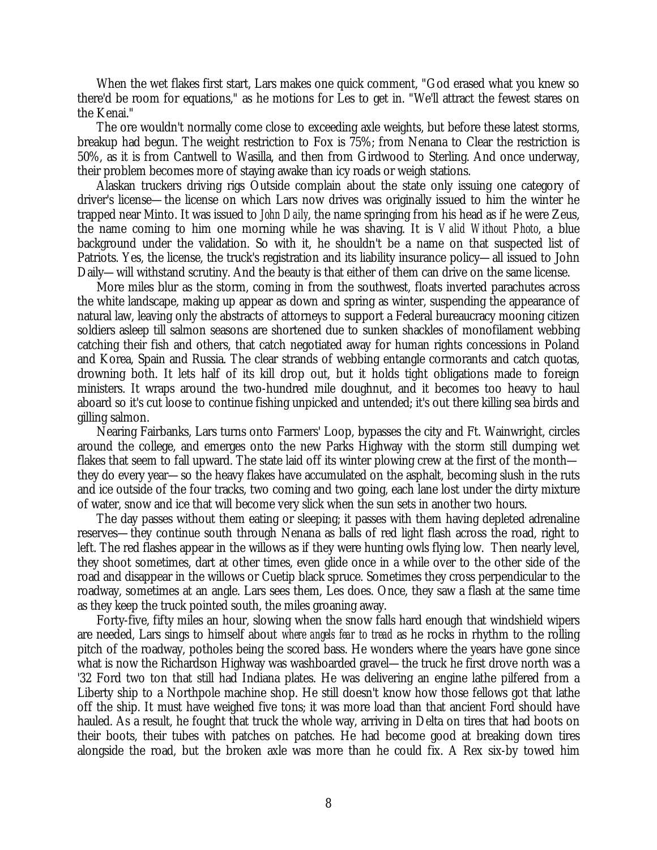When the wet flakes first start, Lars makes one quick comment, "God erased what you knew so there'd be room for equations," as he motions for Les to get in. "We'll attract the fewest stares on the Kenai."

The ore wouldn't normally come close to exceeding axle weights, but before these latest storms, breakup had begun. The weight restriction to Fox is 75%; from Nenana to Clear the restriction is 50%, as it is from Cantwell to Wasilla, and then from Girdwood to Sterling. And once underway, their problem becomes more of staying awake than icy roads or weigh stations.

Alaskan truckers driving rigs Outside complain about the state only issuing one category of driver's license— the license on which Lars now drives was originally issued to him the winter he trapped near Minto. It was issued to *John Daily*, the name springing from his head as if he were Zeus, the name coming to him one morning while he was shaving. It is *Valid Without Photo*, a blue background under the validation. So with it, he shouldn't be a name on that suspected list of Patriots. Yes, the license, the truck's registration and its liability insurance policy— all issued to John Daily— will withstand scrutiny. And the beauty is that either of them can drive on the same license.

More miles blur as the storm, coming in from the southwest, floats inverted parachutes across the white landscape, making up appear as down and spring as winter, suspending the appearance of natural law, leaving only the abstracts of attorneys to support a Federal bureaucracy mooning citizen soldiers asleep till salmon seasons are shortened due to sunken shackles of monofilament webbing catching their fish and others, that catch negotiated away for human rights concessions in Poland and Korea, Spain and Russia. The clear strands of webbing entangle cormorants and catch quotas, drowning both. It lets half of its kill drop out, but it holds tight obligations made to foreign ministers. It wraps around the two-hundred mile doughnut, and it becomes too heavy to haul aboard so it's cut loose to continue fishing unpicked and untended; it's out there killing sea birds and gilling salmon.

Nearing Fairbanks, Lars turns onto Farmers' Loop, bypasses the city and Ft. Wainwright, circles around the college, and emerges onto the new Parks Highway with the storm still dumping wet flakes that seem to fall upward. The state laid off its winter plowing crew at the first of the month they do every year— so the heavy flakes have accumulated on the asphalt, becoming slush in the ruts and ice outside of the four tracks, two coming and two going, each lane lost under the dirty mixture of water, snow and ice that will become very slick when the sun sets in another two hours.

The day passes without them eating or sleeping; it passes with them having depleted adrenaline reserves— they continue south through Nenana as balls of red light flash across the road, right to left. The red flashes appear in the willows as if they were hunting owls flying low. Then nearly level, they shoot sometimes, dart at other times, even glide once in a while over to the other side of the road and disappear in the willows or Cuetip black spruce. Sometimes they cross perpendicular to the roadway, sometimes at an angle. Lars sees them, Les does. Once, they saw a flash at the same time as they keep the truck pointed south, the miles groaning away.

Forty-five, fifty miles an hour, slowing when the snow falls hard enough that windshield wipers are needed, Lars sings to himself about *where angels fear to tread* as he rocks in rhythm to the rolling pitch of the roadway, potholes being the scored bass. He wonders where the years have gone since what is now the Richardson Highway was washboarded gravel— the truck he first drove north was a '32 Ford two ton that still had Indiana plates. He was delivering an engine lathe pilfered from a Liberty ship to a Northpole machine shop. He still doesn't know how those fellows got that lathe off the ship. It must have weighed five tons; it was more load than that ancient Ford should have hauled. As a result, he fought that truck the whole way, arriving in Delta on tires that had boots on their boots, their tubes with patches on patches. He had become good at breaking down tires alongside the road, but the broken axle was more than he could fix. A Rex six-by towed him